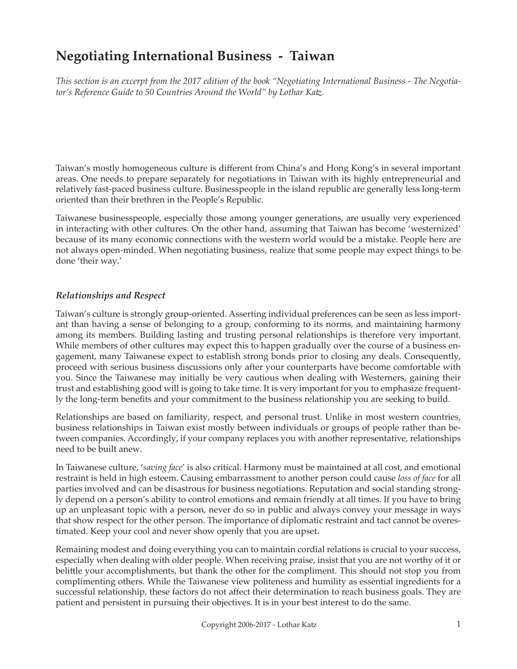# **Negotiating International Business - Taiwan**

*This section is an excerpt from the 2017 edition of the book "Negotiating International Business - The Negotiator's Reference Guide to 50 Countries Around the World" by Lothar Katz.*

Taiwan's mostly homogeneous culture is different from China's and Hong Kong's in several important areas. One needs to prepare separately for negotiations in Taiwan with its highly entrepreneurial and relatively fast-paced business culture. Businesspeople in the island republic are generally less long-term oriented than their brethren in the People's Republic.

Taiwanese businesspeople, especially those among younger generations, are usually very experienced in interacting with other cultures. On the other hand, assuming that Taiwan has become 'westernized' because of its many economic connections with the western world would be a mistake. People here are not always open-minded. When negotiating business, realize that some people may expect things to be done 'their way.'

### *Relationships and Respect*

Taiwan's culture is strongly group-oriented. Asserting individual preferences can be seen as less important than having a sense of belonging to a group, conforming to its norms, and maintaining harmony among its members. Building lasting and trusting personal relationships is therefore very important. While members of other cultures may expect this to happen gradually over the course of a business engagement, many Taiwanese expect to establish strong bonds prior to closing any deals. Consequently, proceed with serious business discussions only after your counterparts have become comfortable with you. Since the Taiwanese may initially be very cautious when dealing with Westerners, gaining their trust and establishing good will is going to take time. It is very important for you to emphasize frequently the long-term benefits and your commitment to the business relationship you are seeking to build.

Relationships are based on familiarity, respect, and personal trust. Unlike in most western countries, business relationships in Taiwan exist mostly between individuals or groups of people rather than between companies. Accordingly, if your company replaces you with another representative, relationships need to be built anew.

In Taiwanese culture, '*saving face*' is also critical. Harmony must be maintained at all cost, and emotional restraint is held in high esteem. Causing embarrassment to another person could cause *loss of face* for all parties involved and can be disastrous for business negotiations. Reputation and social standing strongly depend on a person's ability to control emotions and remain friendly at all times. If you have to bring up an unpleasant topic with a person, never do so in public and always convey your message in ways that show respect for the other person. The importance of diplomatic restraint and tact cannot be overestimated. Keep your cool and never show openly that you are upset.

Remaining modest and doing everything you can to maintain cordial relations is crucial to your success, especially when dealing with older people. When receiving praise, insist that you are not worthy of it or belittle your accomplishments, but thank the other for the compliment. This should not stop you from complimenting others. While the Taiwanese view politeness and humility as essential ingredients for a successful relationship, these factors do not affect their determination to reach business goals. They are patient and persistent in pursuing their objectives. It is in your best interest to do the same.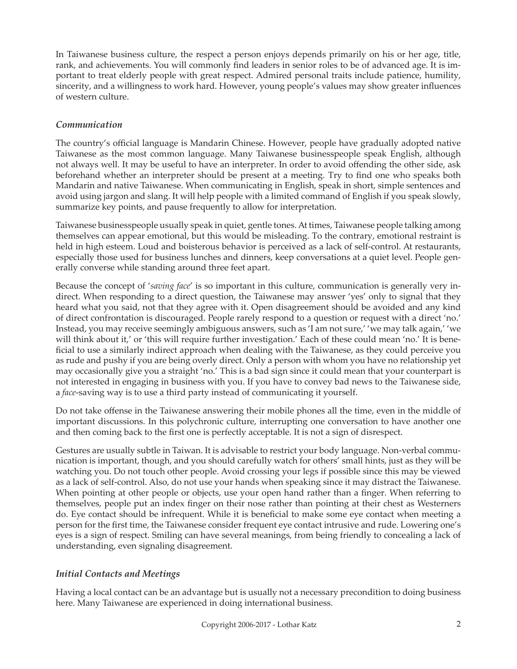In Taiwanese business culture, the respect a person enjoys depends primarily on his or her age, title, rank, and achievements. You will commonly find leaders in senior roles to be of advanced age. It is important to treat elderly people with great respect. Admired personal traits include patience, humility, sincerity, and a willingness to work hard. However, young people's values may show greater influences of western culture.

## *Communication*

The country's official language is Mandarin Chinese. However, people have gradually adopted native Taiwanese as the most common language. Many Taiwanese businesspeople speak English, although not always well. It may be useful to have an interpreter. In order to avoid offending the other side, ask beforehand whether an interpreter should be present at a meeting. Try to find one who speaks both Mandarin and native Taiwanese. When communicating in English, speak in short, simple sentences and avoid using jargon and slang. It will help people with a limited command of English if you speak slowly, summarize key points, and pause frequently to allow for interpretation.

Taiwanese businesspeople usually speak in quiet, gentle tones. At times, Taiwanese people talking among themselves can appear emotional, but this would be misleading. To the contrary, emotional restraint is held in high esteem. Loud and boisterous behavior is perceived as a lack of self-control. At restaurants, especially those used for business lunches and dinners, keep conversations at a quiet level. People generally converse while standing around three feet apart.

Because the concept of '*saving face*' is so important in this culture, communication is generally very indirect. When responding to a direct question, the Taiwanese may answer 'yes' only to signal that they heard what you said, not that they agree with it. Open disagreement should be avoided and any kind of direct confrontation is discouraged. People rarely respond to a question or request with a direct 'no.' Instead, you may receive seemingly ambiguous answers, such as 'I am not sure,' 'we may talk again,' 'we will think about it,' or 'this will require further investigation.' Each of these could mean 'no.' It is beneficial to use a similarly indirect approach when dealing with the Taiwanese, as they could perceive you as rude and pushy if you are being overly direct. Only a person with whom you have no relationship yet may occasionally give you a straight 'no.' This is a bad sign since it could mean that your counterpart is not interested in engaging in business with you. If you have to convey bad news to the Taiwanese side, a *face*-saving way is to use a third party instead of communicating it yourself.

Do not take offense in the Taiwanese answering their mobile phones all the time, even in the middle of important discussions. In this polychronic culture, interrupting one conversation to have another one and then coming back to the first one is perfectly acceptable. It is not a sign of disrespect.

Gestures are usually subtle in Taiwan. It is advisable to restrict your body language. Non-verbal communication is important, though, and you should carefully watch for others' small hints, just as they will be watching you. Do not touch other people. Avoid crossing your legs if possible since this may be viewed as a lack of self-control. Also, do not use your hands when speaking since it may distract the Taiwanese. When pointing at other people or objects, use your open hand rather than a finger. When referring to themselves, people put an index finger on their nose rather than pointing at their chest as Westerners do. Eye contact should be infrequent. While it is beneficial to make some eye contact when meeting a person for the first time, the Taiwanese consider frequent eye contact intrusive and rude. Lowering one's eyes is a sign of respect. Smiling can have several meanings, from being friendly to concealing a lack of understanding, even signaling disagreement.

## *Initial Contacts and Meetings*

Having a local contact can be an advantage but is usually not a necessary precondition to doing business here. Many Taiwanese are experienced in doing international business.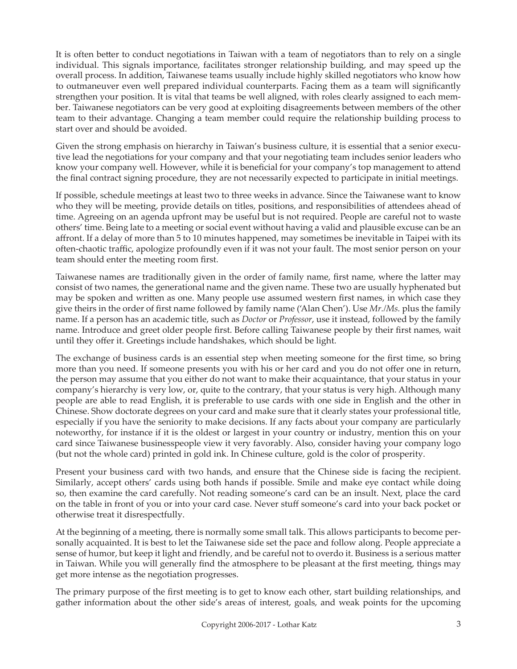It is often better to conduct negotiations in Taiwan with a team of negotiators than to rely on a single individual. This signals importance, facilitates stronger relationship building, and may speed up the overall process. In addition, Taiwanese teams usually include highly skilled negotiators who know how to outmaneuver even well prepared individual counterparts. Facing them as a team will significantly strengthen your position. It is vital that teams be well aligned, with roles clearly assigned to each member. Taiwanese negotiators can be very good at exploiting disagreements between members of the other team to their advantage. Changing a team member could require the relationship building process to start over and should be avoided.

Given the strong emphasis on hierarchy in Taiwan's business culture, it is essential that a senior executive lead the negotiations for your company and that your negotiating team includes senior leaders who know your company well. However, while it is beneficial for your company's top management to attend the final contract signing procedure, they are not necessarily expected to participate in initial meetings.

If possible, schedule meetings at least two to three weeks in advance. Since the Taiwanese want to know who they will be meeting, provide details on titles, positions, and responsibilities of attendees ahead of time. Agreeing on an agenda upfront may be useful but is not required. People are careful not to waste others' time. Being late to a meeting or social event without having a valid and plausible excuse can be an affront. If a delay of more than 5 to 10 minutes happened, may sometimes be inevitable in Taipei with its often-chaotic traffic, apologize profoundly even if it was not your fault. The most senior person on your team should enter the meeting room first.

Taiwanese names are traditionally given in the order of family name, first name, where the latter may consist of two names, the generational name and the given name. These two are usually hyphenated but may be spoken and written as one. Many people use assumed western first names, in which case they give theirs in the order of first name followed by family name ('Alan Chen'). Use *Mr./Ms.* plus the family name. If a person has an academic title, such as *Doctor* or *Professor*, use it instead, followed by the family name. Introduce and greet older people first. Before calling Taiwanese people by their first names, wait until they offer it. Greetings include handshakes, which should be light.

The exchange of business cards is an essential step when meeting someone for the first time, so bring more than you need. If someone presents you with his or her card and you do not offer one in return, the person may assume that you either do not want to make their acquaintance, that your status in your company's hierarchy is very low, or, quite to the contrary, that your status is very high. Although many people are able to read English, it is preferable to use cards with one side in English and the other in Chinese. Show doctorate degrees on your card and make sure that it clearly states your professional title, especially if you have the seniority to make decisions. If any facts about your company are particularly noteworthy, for instance if it is the oldest or largest in your country or industry, mention this on your card since Taiwanese businesspeople view it very favorably. Also, consider having your company logo (but not the whole card) printed in gold ink. In Chinese culture, gold is the color of prosperity.

Present your business card with two hands, and ensure that the Chinese side is facing the recipient. Similarly, accept others' cards using both hands if possible. Smile and make eye contact while doing so, then examine the card carefully. Not reading someone's card can be an insult. Next, place the card on the table in front of you or into your card case. Never stuff someone's card into your back pocket or otherwise treat it disrespectfully.

At the beginning of a meeting, there is normally some small talk. This allows participants to become personally acquainted. It is best to let the Taiwanese side set the pace and follow along. People appreciate a sense of humor, but keep it light and friendly, and be careful not to overdo it. Business is a serious matter in Taiwan. While you will generally find the atmosphere to be pleasant at the first meeting, things may get more intense as the negotiation progresses.

The primary purpose of the first meeting is to get to know each other, start building relationships, and gather information about the other side's areas of interest, goals, and weak points for the upcoming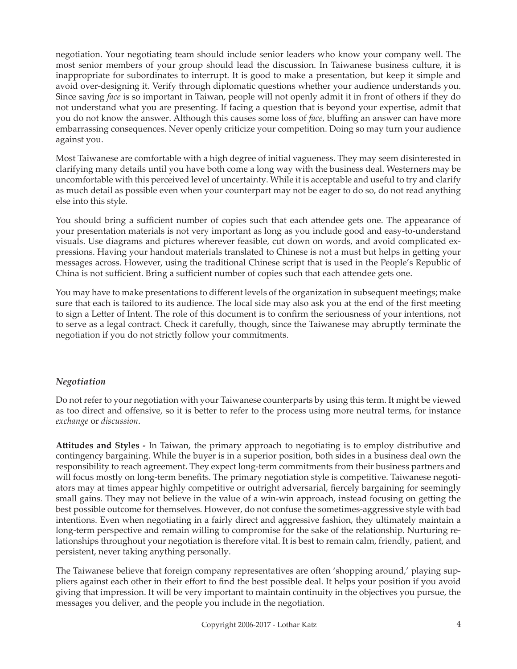negotiation. Your negotiating team should include senior leaders who know your company well. The most senior members of your group should lead the discussion. In Taiwanese business culture, it is inappropriate for subordinates to interrupt. It is good to make a presentation, but keep it simple and avoid over-designing it. Verify through diplomatic questions whether your audience understands you. Since saving *face* is so important in Taiwan, people will not openly admit it in front of others if they do not understand what you are presenting. If facing a question that is beyond your expertise, admit that you do not know the answer. Although this causes some loss of *face*, bluffing an answer can have more embarrassing consequences. Never openly criticize your competition. Doing so may turn your audience against you.

Most Taiwanese are comfortable with a high degree of initial vagueness. They may seem disinterested in clarifying many details until you have both come a long way with the business deal. Westerners may be uncomfortable with this perceived level of uncertainty. While it is acceptable and useful to try and clarify as much detail as possible even when your counterpart may not be eager to do so, do not read anything else into this style.

You should bring a sufficient number of copies such that each attendee gets one. The appearance of your presentation materials is not very important as long as you include good and easy-to-understand visuals. Use diagrams and pictures wherever feasible, cut down on words, and avoid complicated expressions. Having your handout materials translated to Chinese is not a must but helps in getting your messages across. However, using the traditional Chinese script that is used in the People's Republic of China is not sufficient. Bring a sufficient number of copies such that each attendee gets one.

You may have to make presentations to different levels of the organization in subsequent meetings; make sure that each is tailored to its audience. The local side may also ask you at the end of the first meeting to sign a Letter of Intent. The role of this document is to confirm the seriousness of your intentions, not to serve as a legal contract. Check it carefully, though, since the Taiwanese may abruptly terminate the negotiation if you do not strictly follow your commitments.

### *Negotiation*

Do not refer to your negotiation with your Taiwanese counterparts by using this term. It might be viewed as too direct and offensive, so it is better to refer to the process using more neutral terms, for instance *exchange* or *discussion*.

**Attitudes and Styles -** In Taiwan, the primary approach to negotiating is to employ distributive and contingency bargaining. While the buyer is in a superior position, both sides in a business deal own the responsibility to reach agreement. They expect long-term commitments from their business partners and will focus mostly on long-term benefits. The primary negotiation style is competitive. Taiwanese negotiators may at times appear highly competitive or outright adversarial, fiercely bargaining for seemingly small gains. They may not believe in the value of a win-win approach, instead focusing on getting the best possible outcome for themselves. However, do not confuse the sometimes-aggressive style with bad intentions. Even when negotiating in a fairly direct and aggressive fashion, they ultimately maintain a long-term perspective and remain willing to compromise for the sake of the relationship. Nurturing relationships throughout your negotiation is therefore vital. It is best to remain calm, friendly, patient, and persistent, never taking anything personally.

The Taiwanese believe that foreign company representatives are often 'shopping around,' playing suppliers against each other in their effort to find the best possible deal. It helps your position if you avoid giving that impression. It will be very important to maintain continuity in the objectives you pursue, the messages you deliver, and the people you include in the negotiation.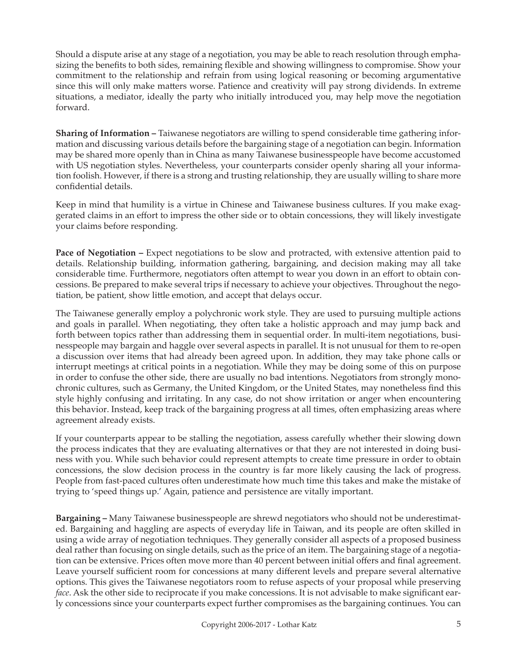Should a dispute arise at any stage of a negotiation, you may be able to reach resolution through emphasizing the benefits to both sides, remaining flexible and showing willingness to compromise. Show your commitment to the relationship and refrain from using logical reasoning or becoming argumentative since this will only make matters worse. Patience and creativity will pay strong dividends. In extreme situations, a mediator, ideally the party who initially introduced you, may help move the negotiation forward.

**Sharing of Information –** Taiwanese negotiators are willing to spend considerable time gathering information and discussing various details before the bargaining stage of a negotiation can begin. Information may be shared more openly than in China as many Taiwanese businesspeople have become accustomed with US negotiation styles. Nevertheless, your counterparts consider openly sharing all your information foolish. However, if there is a strong and trusting relationship, they are usually willing to share more confidential details.

Keep in mind that humility is a virtue in Chinese and Taiwanese business cultures. If you make exaggerated claims in an effort to impress the other side or to obtain concessions, they will likely investigate your claims before responding.

**Pace of Negotiation –** Expect negotiations to be slow and protracted, with extensive attention paid to details. Relationship building, information gathering, bargaining, and decision making may all take considerable time. Furthermore, negotiators often attempt to wear you down in an effort to obtain concessions. Be prepared to make several trips if necessary to achieve your objectives. Throughout the negotiation, be patient, show little emotion, and accept that delays occur.

The Taiwanese generally employ a polychronic work style. They are used to pursuing multiple actions and goals in parallel. When negotiating, they often take a holistic approach and may jump back and forth between topics rather than addressing them in sequential order. In multi-item negotiations, businesspeople may bargain and haggle over several aspects in parallel. It is not unusual for them to re-open a discussion over items that had already been agreed upon. In addition, they may take phone calls or interrupt meetings at critical points in a negotiation. While they may be doing some of this on purpose in order to confuse the other side, there are usually no bad intentions. Negotiators from strongly monochronic cultures, such as Germany, the United Kingdom, or the United States, may nonetheless find this style highly confusing and irritating. In any case, do not show irritation or anger when encountering this behavior. Instead, keep track of the bargaining progress at all times, often emphasizing areas where agreement already exists.

If your counterparts appear to be stalling the negotiation, assess carefully whether their slowing down the process indicates that they are evaluating alternatives or that they are not interested in doing business with you. While such behavior could represent attempts to create time pressure in order to obtain concessions, the slow decision process in the country is far more likely causing the lack of progress. People from fast-paced cultures often underestimate how much time this takes and make the mistake of trying to 'speed things up.' Again, patience and persistence are vitally important.

**Bargaining –** Many Taiwanese businesspeople are shrewd negotiators who should not be underestimated. Bargaining and haggling are aspects of everyday life in Taiwan, and its people are often skilled in using a wide array of negotiation techniques. They generally consider all aspects of a proposed business deal rather than focusing on single details, such as the price of an item. The bargaining stage of a negotiation can be extensive. Prices often move more than 40 percent between initial offers and final agreement. Leave yourself sufficient room for concessions at many different levels and prepare several alternative options. This gives the Taiwanese negotiators room to refuse aspects of your proposal while preserving *face*. Ask the other side to reciprocate if you make concessions. It is not advisable to make significant early concessions since your counterparts expect further compromises as the bargaining continues. You can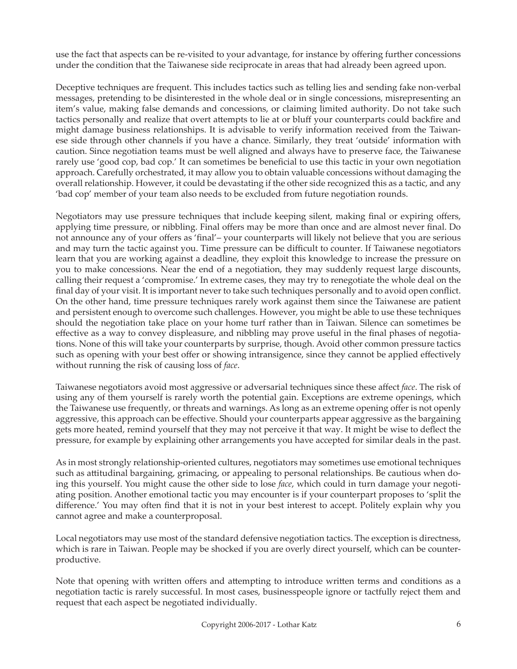use the fact that aspects can be re-visited to your advantage, for instance by offering further concessions under the condition that the Taiwanese side reciprocate in areas that had already been agreed upon.

Deceptive techniques are frequent. This includes tactics such as telling lies and sending fake non-verbal messages, pretending to be disinterested in the whole deal or in single concessions, misrepresenting an item's value, making false demands and concessions, or claiming limited authority. Do not take such tactics personally and realize that overt attempts to lie at or bluff your counterparts could backfire and might damage business relationships. It is advisable to verify information received from the Taiwanese side through other channels if you have a chance. Similarly, they treat 'outside' information with caution. Since negotiation teams must be well aligned and always have to preserve face, the Taiwanese rarely use 'good cop, bad cop.' It can sometimes be beneficial to use this tactic in your own negotiation approach. Carefully orchestrated, it may allow you to obtain valuable concessions without damaging the overall relationship. However, it could be devastating if the other side recognized this as a tactic, and any 'bad cop' member of your team also needs to be excluded from future negotiation rounds.

Negotiators may use pressure techniques that include keeping silent, making final or expiring offers, applying time pressure, or nibbling. Final offers may be more than once and are almost never final. Do not announce any of your offers as 'final'– your counterparts will likely not believe that you are serious and may turn the tactic against you. Time pressure can be difficult to counter. If Taiwanese negotiators learn that you are working against a deadline, they exploit this knowledge to increase the pressure on you to make concessions. Near the end of a negotiation, they may suddenly request large discounts, calling their request a 'compromise.' In extreme cases, they may try to renegotiate the whole deal on the final day of your visit. It is important never to take such techniques personally and to avoid open conflict. On the other hand, time pressure techniques rarely work against them since the Taiwanese are patient and persistent enough to overcome such challenges. However, you might be able to use these techniques should the negotiation take place on your home turf rather than in Taiwan. Silence can sometimes be effective as a way to convey displeasure, and nibbling may prove useful in the final phases of negotiations. None of this will take your counterparts by surprise, though. Avoid other common pressure tactics such as opening with your best offer or showing intransigence, since they cannot be applied effectively without running the risk of causing loss of *face*.

Taiwanese negotiators avoid most aggressive or adversarial techniques since these affect *face*. The risk of using any of them yourself is rarely worth the potential gain. Exceptions are extreme openings, which the Taiwanese use frequently, or threats and warnings. As long as an extreme opening offer is not openly aggressive, this approach can be effective. Should your counterparts appear aggressive as the bargaining gets more heated, remind yourself that they may not perceive it that way. It might be wise to deflect the pressure, for example by explaining other arrangements you have accepted for similar deals in the past.

As in most strongly relationship-oriented cultures, negotiators may sometimes use emotional techniques such as attitudinal bargaining, grimacing, or appealing to personal relationships. Be cautious when doing this yourself. You might cause the other side to lose *face*, which could in turn damage your negotiating position. Another emotional tactic you may encounter is if your counterpart proposes to 'split the difference.' You may often find that it is not in your best interest to accept. Politely explain why you cannot agree and make a counterproposal.

Local negotiators may use most of the standard defensive negotiation tactics. The exception is directness, which is rare in Taiwan. People may be shocked if you are overly direct yourself, which can be counterproductive.

Note that opening with written offers and attempting to introduce written terms and conditions as a negotiation tactic is rarely successful. In most cases, businesspeople ignore or tactfully reject them and request that each aspect be negotiated individually.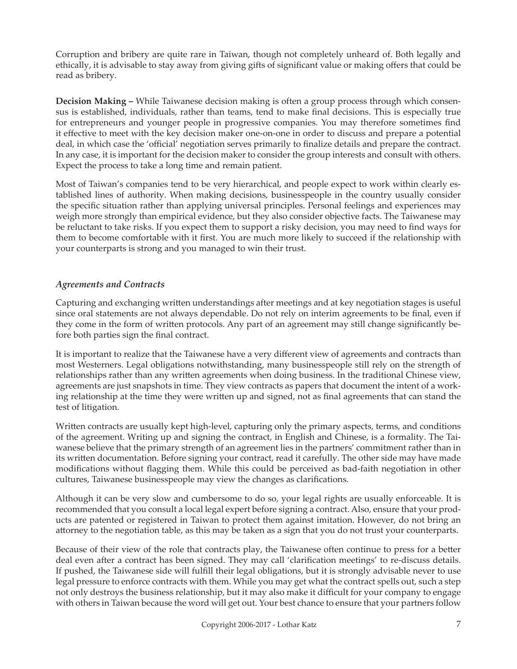Corruption and bribery are quite rare in Taiwan, though not completely unheard of. Both legally and ethically, it is advisable to stay away from giving gifts of significant value or making offers that could be read as bribery.

**Decision Making –** While Taiwanese decision making is often a group process through which consensus is established, individuals, rather than teams, tend to make final decisions. This is especially true for entrepreneurs and younger people in progressive companies. You may therefore sometimes find it effective to meet with the key decision maker one-on-one in order to discuss and prepare a potential deal, in which case the 'official' negotiation serves primarily to finalize details and prepare the contract. In any case, it is important for the decision maker to consider the group interests and consult with others. Expect the process to take a long time and remain patient.

Most of Taiwan's companies tend to be very hierarchical, and people expect to work within clearly established lines of authority. When making decisions, businesspeople in the country usually consider the specific situation rather than applying universal principles. Personal feelings and experiences may weigh more strongly than empirical evidence, but they also consider objective facts. The Taiwanese may be reluctant to take risks. If you expect them to support a risky decision, you may need to find ways for them to become comfortable with it first. You are much more likely to succeed if the relationship with your counterparts is strong and you managed to win their trust.

### *Agreements and Contracts*

Capturing and exchanging written understandings after meetings and at key negotiation stages is useful since oral statements are not always dependable. Do not rely on interim agreements to be final, even if they come in the form of written protocols. Any part of an agreement may still change significantly before both parties sign the final contract.

It is important to realize that the Taiwanese have a very different view of agreements and contracts than most Westerners. Legal obligations notwithstanding, many businesspeople still rely on the strength of relationships rather than any written agreements when doing business. In the traditional Chinese view, agreements are just snapshots in time. They view contracts as papers that document the intent of a working relationship at the time they were written up and signed, not as final agreements that can stand the test of litigation.

Written contracts are usually kept high-level, capturing only the primary aspects, terms, and conditions of the agreement. Writing up and signing the contract, in English and Chinese, is a formality. The Taiwanese believe that the primary strength of an agreement lies in the partners' commitment rather than in its written documentation. Before signing your contract, read it carefully. The other side may have made modifications without flagging them. While this could be perceived as bad-faith negotiation in other cultures, Taiwanese businesspeople may view the changes as clarifications.

Although it can be very slow and cumbersome to do so, your legal rights are usually enforceable. It is recommended that you consult a local legal expert before signing a contract. Also, ensure that your products are patented or registered in Taiwan to protect them against imitation. However, do not bring an attorney to the negotiation table, as this may be taken as a sign that you do not trust your counterparts.

Because of their view of the role that contracts play, the Taiwanese often continue to press for a better deal even after a contract has been signed. They may call 'clarification meetings' to re-discuss details. If pushed, the Taiwanese side will fulfill their legal obligations, but it is strongly advisable never to use legal pressure to enforce contracts with them. While you may get what the contract spells out, such a step not only destroys the business relationship, but it may also make it difficult for your company to engage with others in Taiwan because the word will get out. Your best chance to ensure that your partners follow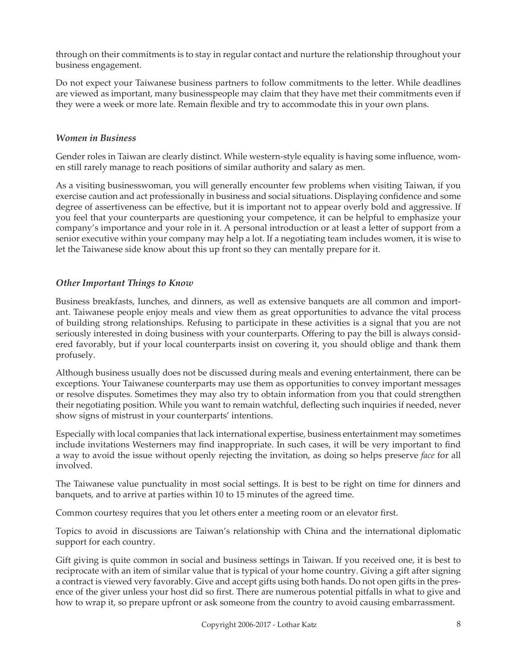through on their commitments is to stay in regular contact and nurture the relationship throughout your business engagement.

Do not expect your Taiwanese business partners to follow commitments to the letter. While deadlines are viewed as important, many businesspeople may claim that they have met their commitments even if they were a week or more late. Remain flexible and try to accommodate this in your own plans.

#### *Women in Business*

Gender roles in Taiwan are clearly distinct. While western-style equality is having some influence, women still rarely manage to reach positions of similar authority and salary as men.

As a visiting businesswoman, you will generally encounter few problems when visiting Taiwan, if you exercise caution and act professionally in business and social situations. Displaying confidence and some degree of assertiveness can be effective, but it is important not to appear overly bold and aggressive. If you feel that your counterparts are questioning your competence, it can be helpful to emphasize your company's importance and your role in it. A personal introduction or at least a letter of support from a senior executive within your company may help a lot. If a negotiating team includes women, it is wise to let the Taiwanese side know about this up front so they can mentally prepare for it.

### *Other Important Things to Know*

Business breakfasts, lunches, and dinners, as well as extensive banquets are all common and important. Taiwanese people enjoy meals and view them as great opportunities to advance the vital process of building strong relationships. Refusing to participate in these activities is a signal that you are not seriously interested in doing business with your counterparts. Offering to pay the bill is always considered favorably, but if your local counterparts insist on covering it, you should oblige and thank them profusely.

Although business usually does not be discussed during meals and evening entertainment, there can be exceptions. Your Taiwanese counterparts may use them as opportunities to convey important messages or resolve disputes. Sometimes they may also try to obtain information from you that could strengthen their negotiating position. While you want to remain watchful, deflecting such inquiries if needed, never show signs of mistrust in your counterparts' intentions.

Especially with local companies that lack international expertise, business entertainment may sometimes include invitations Westerners may find inappropriate. In such cases, it will be very important to find a way to avoid the issue without openly rejecting the invitation, as doing so helps preserve *face* for all involved.

The Taiwanese value punctuality in most social settings. It is best to be right on time for dinners and banquets, and to arrive at parties within 10 to 15 minutes of the agreed time.

Common courtesy requires that you let others enter a meeting room or an elevator first.

Topics to avoid in discussions are Taiwan's relationship with China and the international diplomatic support for each country.

Gift giving is quite common in social and business settings in Taiwan. If you received one, it is best to reciprocate with an item of similar value that is typical of your home country. Giving a gift after signing a contract is viewed very favorably. Give and accept gifts using both hands. Do not open gifts in the presence of the giver unless your host did so first. There are numerous potential pitfalls in what to give and how to wrap it, so prepare upfront or ask someone from the country to avoid causing embarrassment.